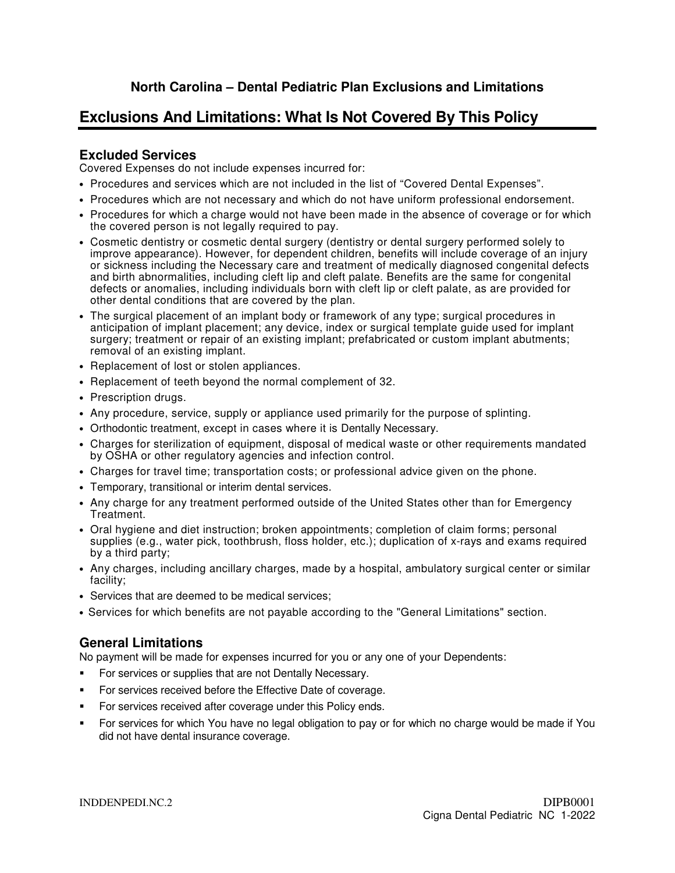## **Exclusions And Limitations: What Is Not Covered By This Policy**

## **Excluded Services**

Covered Expenses do not include expenses incurred for:

- Procedures and services which are not included in the list of "Covered Dental Expenses".
- Procedures which are not necessary and which do not have uniform professional endorsement.
- Procedures for which a charge would not have been made in the absence of coverage or for which the covered person is not legally required to pay.
- Cosmetic dentistry or cosmetic dental surgery (dentistry or dental surgery performed solely to improve appearance). However, for dependent children, benefits will include coverage of an injury or sickness including the Necessary care and treatment of medically diagnosed congenital defects and birth abnormalities, including cleft lip and cleft palate. Benefits are the same for congenital defects or anomalies, including individuals born with cleft lip or cleft palate, as are provided for other dental conditions that are covered by the plan.
- The surgical placement of an implant body or framework of any type; surgical procedures in anticipation of implant placement; any device, index or surgical template guide used for implant surgery; treatment or repair of an existing implant; prefabricated or custom implant abutments; removal of an existing implant.
- Replacement of lost or stolen appliances.
- Replacement of teeth beyond the normal complement of 32.
- Prescription drugs.
- Any procedure, service, supply or appliance used primarily for the purpose of splinting.
- Orthodontic treatment, except in cases where it is Dentally Necessary.
- Charges for sterilization of equipment, disposal of medical waste or other requirements mandated by OSHA or other regulatory agencies and infection control.
- Charges for travel time; transportation costs; or professional advice given on the phone.
- Temporary, transitional or interim dental services.
- Any charge for any treatment performed outside of the United States other than for Emergency Treatment.
- Oral hygiene and diet instruction; broken appointments; completion of claim forms; personal supplies (e.g., water pick, toothbrush, floss holder, etc.); duplication of x-rays and exams required by a third party;
- Any charges, including ancillary charges, made by a hospital, ambulatory surgical center or similar facility;
- Services that are deemed to be medical services;
- Services for which benefits are not payable according to the "General Limitations" section.

## **General Limitations**

No payment will be made for expenses incurred for you or any one of your Dependents:

- **For services or supplies that are not Dentally Necessary.**
- For services received before the Effective Date of coverage.
- For services received after coverage under this Policy ends.
- For services for which You have no legal obligation to pay or for which no charge would be made if You did not have dental insurance coverage.